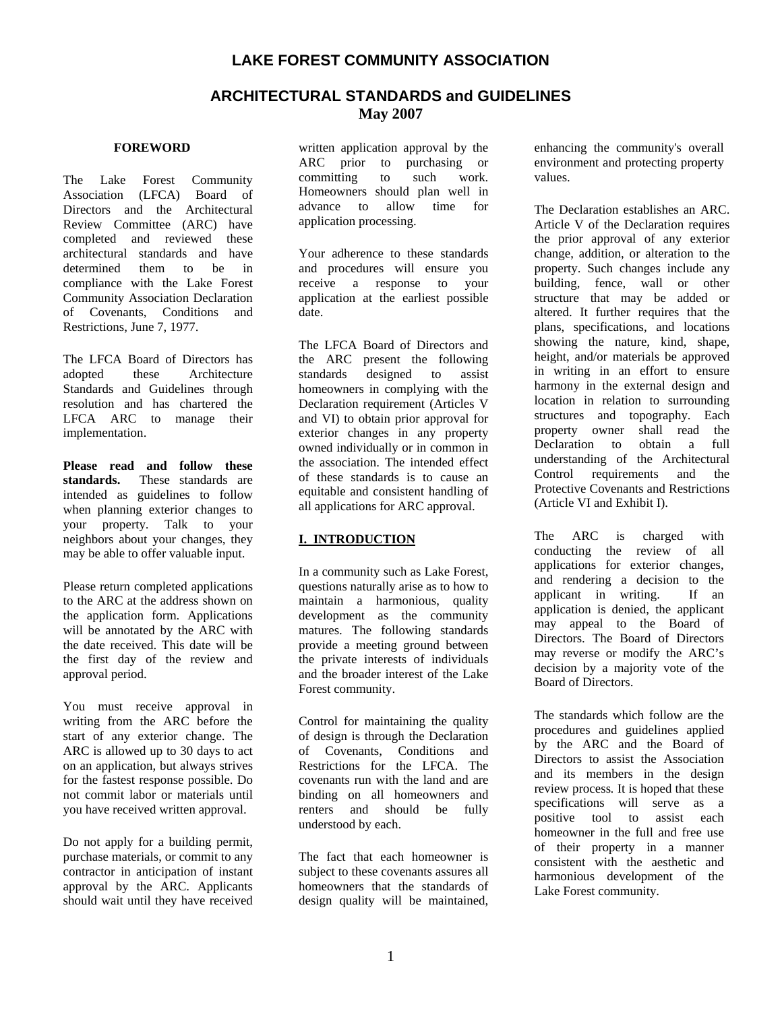## **LAKE FOREST COMMUNITY ASSOCIATION**

## **ARCHITECTURAL STANDARDS and GUIDELINES May 2007**

#### **FOREWORD**

The Lake Forest Community Association (LFCA) Board of Directors and the Architectural Review Committee (ARC) have completed and reviewed these architectural standards and have determined them to be in compliance with the Lake Forest Community Association Declaration of Covenants, Conditions and Restrictions, June 7, 1977.

The LFCA Board of Directors has adopted these Architecture Standards and Guidelines through resolution and has chartered the LFCA ARC to manage their implementation.

**Please read and follow these standards.** These standards are intended as guidelines to follow when planning exterior changes to your property. Talk to your neighbors about your changes, they may be able to offer valuable input.

Please return completed applications to the ARC at the address shown on the application form. Applications will be annotated by the ARC with the date received. This date will be the first day of the review and approval period.

You must receive approval in writing from the ARC before the start of any exterior change. The ARC is allowed up to 30 days to act on an application, but always strives for the fastest response possible. Do not commit labor or materials until you have received written approval.

Do not apply for a building permit, purchase materials, or commit to any contractor in anticipation of instant approval by the ARC. Applicants should wait until they have received

written application approval by the ARC prior to purchasing or committing to such work. Homeowners should plan well in advance to allow time for application processing.

Your adherence to these standards and procedures will ensure you receive a response to your application at the earliest possible date.

The LFCA Board of Directors and the ARC present the following standards designed to assist homeowners in complying with the Declaration requirement (Articles V and VI) to obtain prior approval for exterior changes in any property owned individually or in common in the association. The intended effect of these standards is to cause an equitable and consistent handling of all applications for ARC approval.

#### **I. INTRODUCTION**

In a community such as Lake Forest, questions naturally arise as to how to maintain a harmonious, quality development as the community matures. The following standards provide a meeting ground between the private interests of individuals and the broader interest of the Lake Forest community.

Control for maintaining the quality of design is through the Declaration of Covenants, Conditions and Restrictions for the LFCA. The covenants run with the land and are binding on all homeowners and renters and should be fully understood by each.

The fact that each homeowner is subject to these covenants assures all homeowners that the standards of design quality will be maintained, enhancing the community's overall environment and protecting property values.

The Declaration establishes an ARC. Article V of the Declaration requires the prior approval of any exterior change, addition, or alteration to the property. Such changes include any building, fence, wall or other structure that may be added or altered. It further requires that the plans, specifications, and locations showing the nature, kind, shape, height, and/or materials be approved in writing in an effort to ensure harmony in the external design and location in relation to surrounding structures and topography. Each property owner shall read the Declaration to obtain a full understanding of the Architectural Control requirements and the Protective Covenants and Restrictions (Article VI and Exhibit I).

The ARC is charged with conducting the review of all applications for exterior changes, and rendering a decision to the applicant in writing. If an application is denied, the applicant may appeal to the Board of Directors. The Board of Directors may reverse or modify the ARC's decision by a majority vote of the Board of Directors.

The standards which follow are the procedures and guidelines applied by the ARC and the Board of Directors to assist the Association and its members in the design review process*.* It is hoped that these specifications will serve as a positive tool to assist each homeowner in the full and free use of their property in a manner consistent with the aesthetic and harmonious development of the Lake Forest community.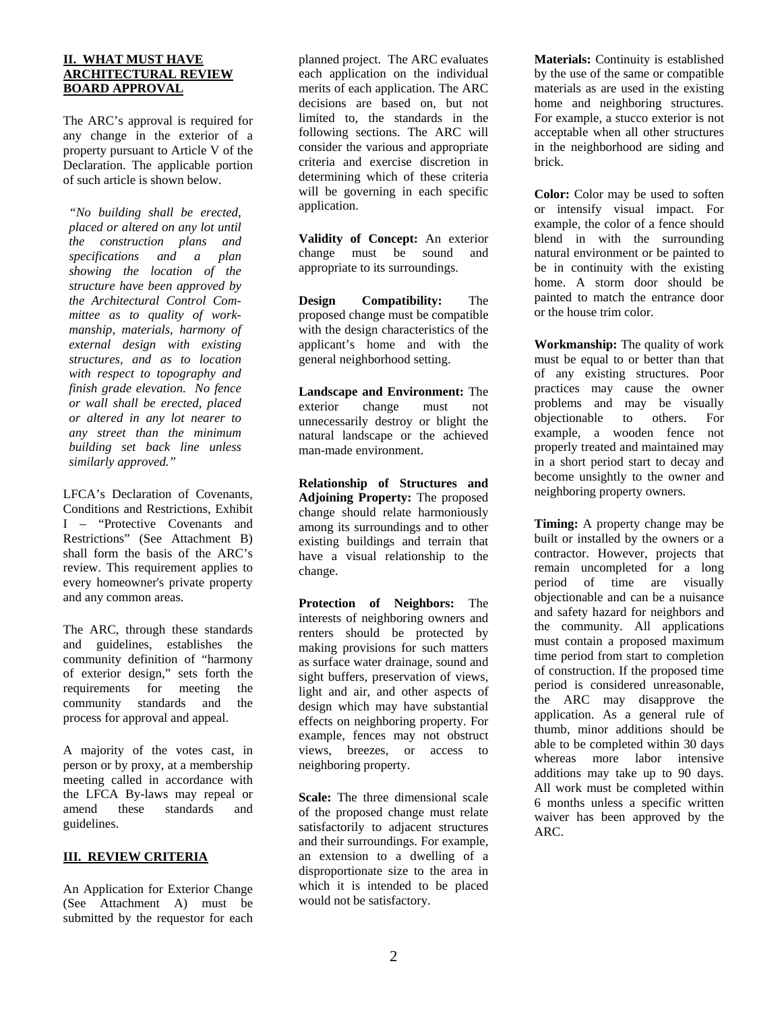#### **II. WHAT MUST HAVE ARCHITECTURAL REVIEW BOARD APPROVAL**

The ARC's approval is required for any change in the exterior of a property pursuant to Article V of the Declaration. The applicable portion of such article is shown below.

*"No building shall be erected, placed or altered on any lot until the construction plans and specifications and a plan showing the location of the structure have been approved by the Architectural Control Committee as to quality of workmanship, materials, harmony of external design with existing structures, and as to location with respect to topography and finish grade elevation. No fence or wall shall be erected, placed or altered in any lot nearer to any street than the minimum building set back line unless similarly approved."* 

LFCA's Declaration of Covenants, Conditions and Restrictions, Exhibit I – "Protective Covenants and Restrictions" (See Attachment B) shall form the basis of the ARC's review. This requirement applies to every homeowner's private property and any common areas.

The ARC, through these standards and guidelines, establishes the community definition of "harmony of exterior design," sets forth the requirements for meeting the community standards and the process for approval and appeal.

A majority of the votes cast, in person or by proxy, at a membership meeting called in accordance with the LFCA By-laws may repeal or amend these standards and guidelines.

#### **III. REVIEW CRITERIA**

An Application for Exterior Change (See Attachment A) must be submitted by the requestor for each planned project. The ARC evaluates each application on the individual merits of each application. The ARC decisions are based on, but not limited to, the standards in the following sections. The ARC will consider the various and appropriate criteria and exercise discretion in determining which of these criteria will be governing in each specific application.

**Validity of Concept:** An exterior change must be sound and appropriate to its surroundings.

**Design Compatibility:** The proposed change must be compatible with the design characteristics of the applicant's home and with the general neighborhood setting.

**Landscape and Environment:** The exterior change must not unnecessarily destroy or blight the natural landscape or the achieved man-made environment.

**Relationship of Structures and Adjoining Property:** The proposed change should relate harmoniously among its surroundings and to other existing buildings and terrain that have a visual relationship to the change.

**Protection of Neighbors:** The interests of neighboring owners and renters should be protected by making provisions for such matters as surface water drainage, sound and sight buffers, preservation of views, light and air, and other aspects of design which may have substantial effects on neighboring property. For example, fences may not obstruct views, breezes, or access to neighboring property.

**Scale:** The three dimensional scale of the proposed change must relate satisfactorily to adjacent structures and their surroundings. For example, an extension to a dwelling of a disproportionate size to the area in which it is intended to be placed would not be satisfactory.

**Materials:** Continuity is established by the use of the same or compatible materials as are used in the existing home and neighboring structures. For example, a stucco exterior is not acceptable when all other structures in the neighborhood are siding and brick.

**Color:** Color may be used to soften or intensify visual impact. For example, the color of a fence should blend in with the surrounding natural environment or be painted to be in continuity with the existing home. A storm door should be painted to match the entrance door or the house trim color.

**Workmanship:** The quality of work must be equal to or better than that of any existing structures. Poor practices may cause the owner problems and may be visually objectionable to others. For example, a wooden fence not properly treated and maintained may in a short period start to decay and become unsightly to the owner and neighboring property owners.

**Timing:** A property change may be built or installed by the owners or a contractor. However, projects that remain uncompleted for a long period of time are visually objectionable and can be a nuisance and safety hazard for neighbors and the community. All applications must contain a proposed maximum time period from start to completion of construction. If the proposed time period is considered unreasonable, the ARC may disapprove the application. As a general rule of thumb, minor additions should be able to be completed within 30 days whereas more labor intensive additions may take up to 90 days. All work must be completed within 6 months unless a specific written waiver has been approved by the ARC.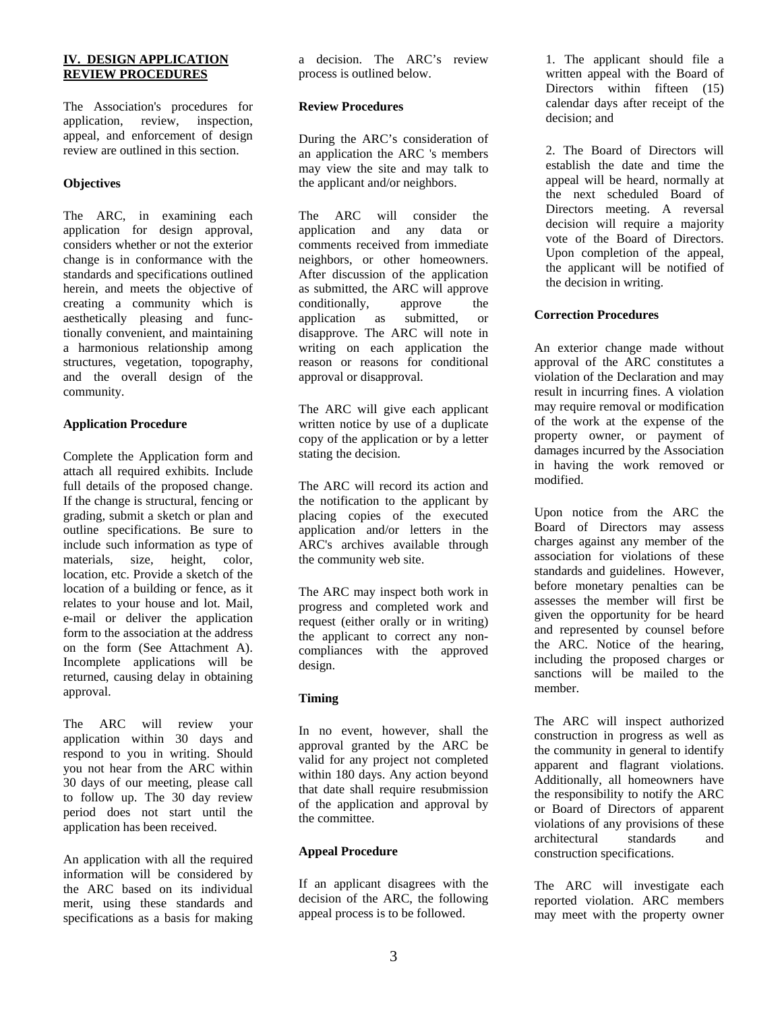#### **IV. DESIGN APPLICATION REVIEW PROCEDURES**

The Association's procedures for application, review, inspection, appeal, and enforcement of design review are outlined in this section.

#### **Objectives**

The ARC, in examining each application for design approval, considers whether or not the exterior change is in conformance with the standards and specifications outlined herein, and meets the objective of creating a community which is aesthetically pleasing and functionally convenient, and maintaining a harmonious relationship among structures, vegetation, topography, and the overall design of the community.

#### **Application Procedure**

Complete the Application form and attach all required exhibits. Include full details of the proposed change. If the change is structural, fencing or grading, submit a sketch or plan and outline specifications. Be sure to include such information as type of materials, size, height, color, location, etc. Provide a sketch of the location of a building or fence, as it relates to your house and lot. Mail, e-mail or deliver the application form to the association at the address on the form (See Attachment A). Incomplete applications will be returned, causing delay in obtaining approval.

The ARC will review your application within 30 days and respond to you in writing. Should you not hear from the ARC within 30 days of our meeting, please call to follow up. The 30 day review period does not start until the application has been received.

An application with all the required information will be considered by the ARC based on its individual merit, using these standards and specifications as a basis for making

a decision. The ARC's review process is outlined below.

#### **Review Procedures**

During the ARC's consideration of an application the ARC 's members may view the site and may talk to the applicant and/or neighbors.

The ARC will consider the application and any data or comments received from immediate neighbors, or other homeowners. After discussion of the application as submitted, the ARC will approve conditionally, approve the application as submitted, or disapprove. The ARC will note in writing on each application the reason or reasons for conditional approval or disapproval.

The ARC will give each applicant written notice by use of a duplicate copy of the application or by a letter stating the decision.

The ARC will record its action and the notification to the applicant by placing copies of the executed application and/or letters in the ARC's archives available through the community web site.

The ARC may inspect both work in progress and completed work and request (either orally or in writing) the applicant to correct any noncompliances with the approved design.

### **Timing**

In no event, however, shall the approval granted by the ARC be valid for any project not completed within 180 days. Any action beyond that date shall require resubmission of the application and approval by the committee.

### **Appeal Procedure**

If an applicant disagrees with the decision of the ARC, the following appeal process is to be followed.

1. The applicant should file a written appeal with the Board of Directors within fifteen (15) calendar days after receipt of the decision; and

2. The Board of Directors will establish the date and time the appeal will be heard, normally at the next scheduled Board of Directors meeting. A reversal decision will require a majority vote of the Board of Directors. Upon completion of the appeal, the applicant will be notified of the decision in writing.

#### **Correction Procedures**

An exterior change made without approval of the ARC constitutes a violation of the Declaration and may result in incurring fines. A violation may require removal or modification of the work at the expense of the property owner, or payment of damages incurred by the Association in having the work removed or modified.

Upon notice from the ARC the Board of Directors may assess charges against any member of the association for violations of these standards and guidelines. However, before monetary penalties can be assesses the member will first be given the opportunity for be heard and represented by counsel before the ARC. Notice of the hearing, including the proposed charges or sanctions will be mailed to the member.

The ARC will inspect authorized construction in progress as well as the community in general to identify apparent and flagrant violations. Additionally, all homeowners have the responsibility to notify the ARC or Board of Directors of apparent violations of any provisions of these architectural standards and construction specifications.

The ARC will investigate each reported violation. ARC members may meet with the property owner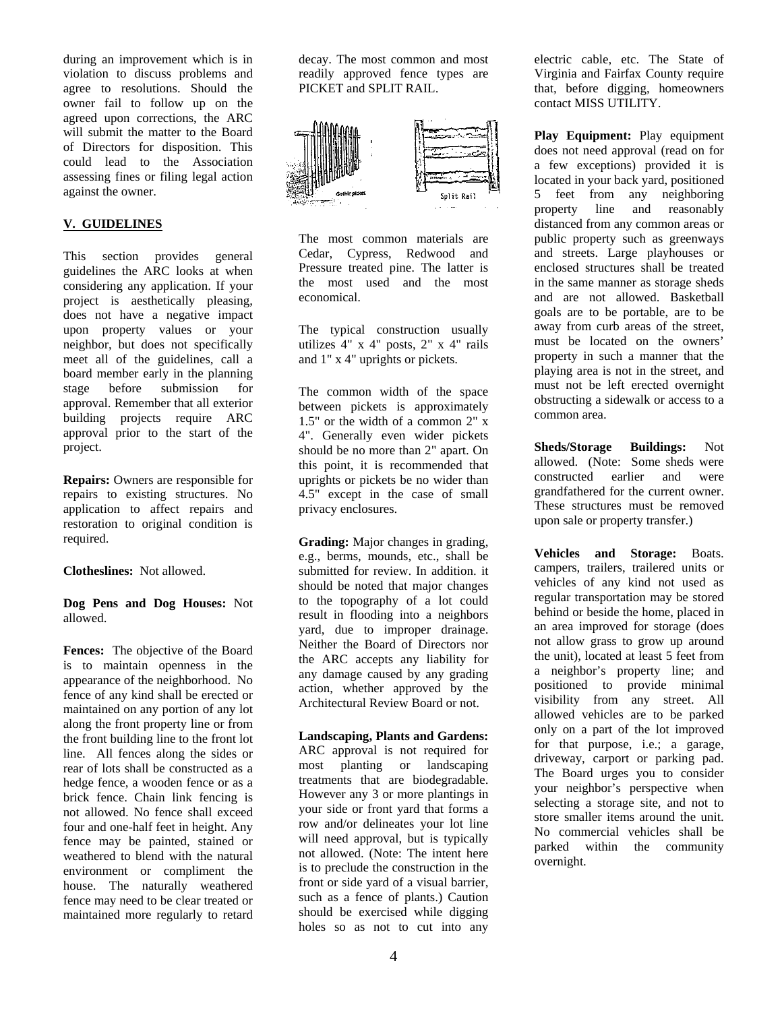during an improvement which is in violation to discuss problems and agree to resolutions. Should the owner fail to follow up on the agreed upon corrections, the ARC will submit the matter to the Board of Directors for disposition. This could lead to the Association assessing fines or filing legal action against the owner.

#### **V. GUIDELINES**

This section provides general guidelines the ARC looks at when considering any application. If your project is aesthetically pleasing, does not have a negative impact upon property values or your neighbor, but does not specifically meet all of the guidelines, call a board member early in the planning stage before submission for approval. Remember that all exterior building projects require ARC approval prior to the start of the project.

**Repairs:** Owners are responsible for repairs to existing structures. No application to affect repairs and restoration to original condition is required.

#### **Clotheslines:** Not allowed.

**Dog Pens and Dog Houses:** Not allowed.

**Fences:** The objective of the Board is to maintain openness in the appearance of the neighborhood. No fence of any kind shall be erected or maintained on any portion of any lot along the front property line or from the front building line to the front lot line. All fences along the sides or rear of lots shall be constructed as a hedge fence, a wooden fence or as a brick fence. Chain link fencing is not allowed. No fence shall exceed four and one-half feet in height. Any fence may be painted, stained or weathered to blend with the natural environment or compliment the house. The naturally weathered fence may need to be clear treated or maintained more regularly to retard

decay. The most common and most readily approved fence types are PICKET and SPLIT RAIL.



The most common materials are Cedar, Cypress, Redwood and Pressure treated pine. The latter is the most used and the most economical.

The typical construction usually utilizes 4" x 4" posts, 2" x 4" rails and 1" x 4" uprights or pickets.

The common width of the space between pickets is approximately 1.5" or the width of a common 2" x 4". Generally even wider pickets should be no more than 2" apart. On this point, it is recommended that uprights or pickets be no wider than 4.5" except in the case of small privacy enclosures.

**Grading:** Major changes in grading, e.g., berms, mounds, etc., shall be submitted for review. In addition. it should be noted that major changes to the topography of a lot could result in flooding into a neighbors yard, due to improper drainage. Neither the Board of Directors nor the ARC accepts any liability for any damage caused by any grading action, whether approved by the Architectural Review Board or not.

**Landscaping, Plants and Gardens:** ARC approval is not required for most planting or landscaping treatments that are biodegradable. However any 3 or more plantings in your side or front yard that forms a row and/or delineates your lot line will need approval, but is typically not allowed. (Note: The intent here is to preclude the construction in the front or side yard of a visual barrier, such as a fence of plants.) Caution should be exercised while digging holes so as not to cut into any

electric cable, etc. The State of Virginia and Fairfax County require that, before digging, homeowners contact MISS UTILITY.

**Play Equipment:** Play equipment does not need approval (read on for a few exceptions) provided it is located in your back yard, positioned 5 feet from any neighboring property line and reasonably distanced from any common areas or public property such as greenways and streets. Large playhouses or enclosed structures shall be treated in the same manner as storage sheds and are not allowed. Basketball goals are to be portable, are to be away from curb areas of the street, must be located on the owners' property in such a manner that the playing area is not in the street, and must not be left erected overnight obstructing a sidewalk or access to a common area.

**Sheds/Storage Buildings:** Not allowed. (Note: Some sheds were constructed earlier and were grandfathered for the current owner. These structures must be removed upon sale or property transfer.)

**Vehicles and Storage:** Boats. campers, trailers, trailered units or vehicles of any kind not used as regular transportation may be stored behind or beside the home, placed in an area improved for storage (does not allow grass to grow up around the unit), located at least 5 feet from a neighbor's property line; and positioned to provide minimal visibility from any street. All allowed vehicles are to be parked only on a part of the lot improved for that purpose, i.e.; a garage, driveway, carport or parking pad. The Board urges you to consider your neighbor's perspective when selecting a storage site, and not to store smaller items around the unit. No commercial vehicles shall be parked within the community overnight.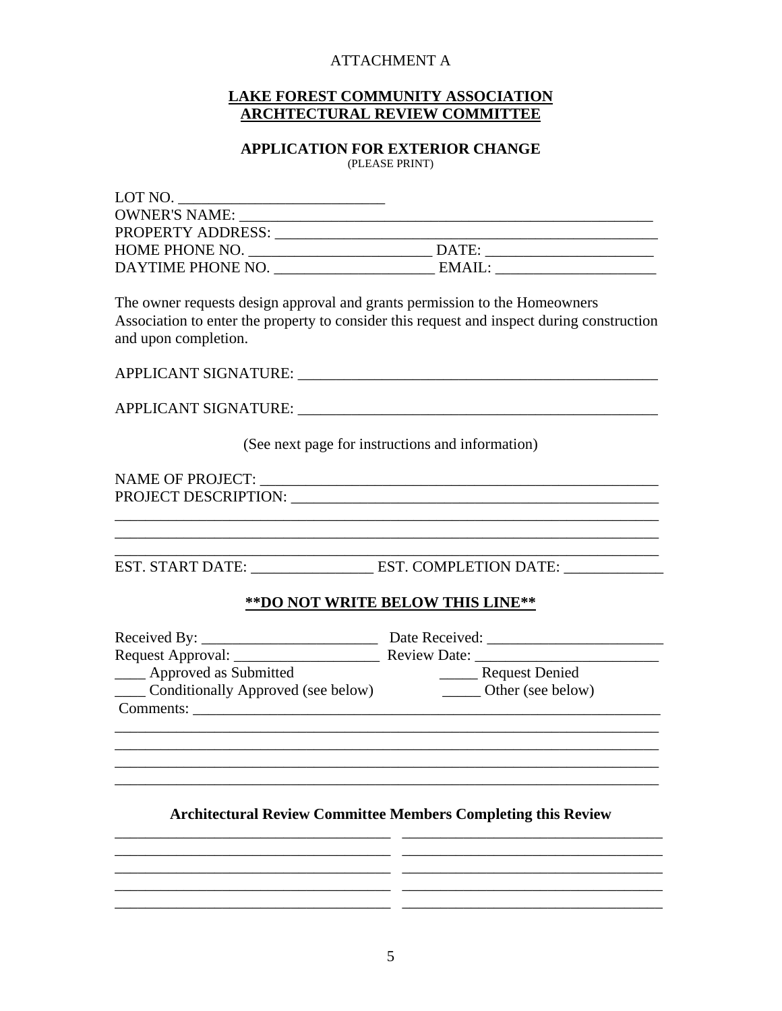# ATTACHMENT A

## **LAKE FOREST COMMUNITY ASSOCIATION ARCHTECTURAL REVIEW COMMITTEE**

### **APPLICATION FOR EXTERIOR CHANGE**  (PLEASE PRINT)

| $LOT NO. \n$                                                                                       |                                                                                            |
|----------------------------------------------------------------------------------------------------|--------------------------------------------------------------------------------------------|
| <b>OWNER'S NAME:</b>                                                                               |                                                                                            |
|                                                                                                    |                                                                                            |
|                                                                                                    |                                                                                            |
|                                                                                                    |                                                                                            |
| The owner requests design approval and grants permission to the Homeowners<br>and upon completion. | Association to enter the property to consider this request and inspect during construction |
|                                                                                                    |                                                                                            |
| (See next page for instructions and information)                                                   |                                                                                            |
|                                                                                                    |                                                                                            |
|                                                                                                    | EST. START DATE: ________________________EST. COMPLETION DATE: _________________           |
|                                                                                                    | ** DO NOT WRITE BELOW THIS LINE**                                                          |
|                                                                                                    |                                                                                            |
|                                                                                                    |                                                                                            |
| ____ Approved as Submitted                                                                         |                                                                                            |
| Approved as Submitted<br>Conditionally Approved (see below)<br>Cher (see below)<br>Comments:       |                                                                                            |
|                                                                                                    |                                                                                            |
|                                                                                                    | <b>Architectural Review Committee Members Completing this Review</b>                       |
|                                                                                                    |                                                                                            |

\_\_\_\_\_\_\_\_\_\_\_\_\_\_\_\_\_\_\_\_\_\_\_\_\_\_\_\_\_\_\_\_\_\_\_\_ \_\_\_\_\_\_\_\_\_\_\_\_\_\_\_\_\_\_\_\_\_\_\_\_\_\_\_\_\_\_\_\_\_\_ \_\_\_\_\_\_\_\_\_\_\_\_\_\_\_\_\_\_\_\_\_\_\_\_\_\_\_\_\_\_\_\_\_\_\_\_ \_\_\_\_\_\_\_\_\_\_\_\_\_\_\_\_\_\_\_\_\_\_\_\_\_\_\_\_\_\_\_\_\_\_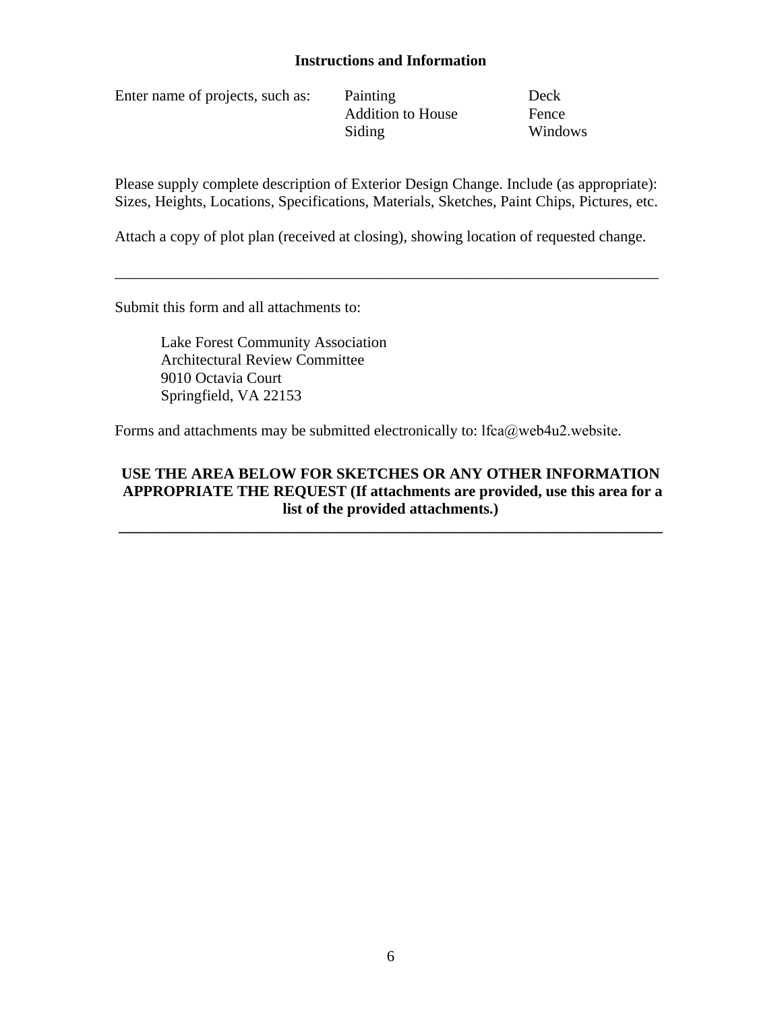## **Instructions and Information**

Enter name of projects, such as: Painting Deck

Addition to House Fence Siding Windows

Please supply complete description of Exterior Design Change. Include (as appropriate): Sizes, Heights, Locations, Specifications, Materials, Sketches, Paint Chips, Pictures, etc.

Attach a copy of plot plan (received at closing), showing location of requested change.

\_\_\_\_\_\_\_\_\_\_\_\_\_\_\_\_\_\_\_\_\_\_\_\_\_\_\_\_\_\_\_\_\_\_\_\_\_\_\_\_\_\_\_\_\_\_\_\_\_\_\_\_\_\_\_\_\_\_\_\_\_\_\_\_\_\_\_\_\_\_\_

Submit this form and all attachments to:

Lake Forest Community Association Architectural Review Committee 9010 Octavia Court Springfield, VA 22153

Forms and attachments may be submitted electronically to: lfca@web4u2.website.

## **USE THE AREA BELOW FOR SKETCHES OR ANY OTHER INFORMATION APPROPRIATE THE REQUEST (If attachments are provided, use this area for a list of the provided attachments.)**

**\_\_\_\_\_\_\_\_\_\_\_\_\_\_\_\_\_\_\_\_\_\_\_\_\_\_\_\_\_\_\_\_\_\_\_\_\_\_\_\_\_\_\_\_\_\_\_\_\_\_\_\_\_\_\_\_\_\_\_\_\_\_\_\_\_\_\_\_\_\_\_**